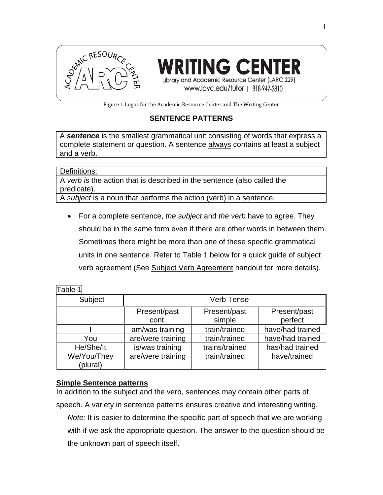

**WRITING CENTER** Library and Academic Resource Center (LARC 229) www.lavc.edu/tutor | 818-947-2810

Figure 1 Logos for the Academic Resource Center and The Writing Center

## **SENTENCE PATTERNS**

A *sentence* is the smallest grammatical unit consisting of words that express a complete statement or question. A sentence always contains at least a subject and a verb.

Definitions:

A *verb is* the action that is described in the sentence (also called the predicate).

A *subject* is a noun that performs the action (verb) in a sentence.

• For a complete sentence, *the subject* and *the verb* have to agree. They should be in the same form even if there are other words in between them. Sometimes there might be more than one of these specific grammatical units in one sentence. Refer to Table 1 below for a quick guide of subject verb agreement (See Subject Verb Agreement handout for more details).

Table 1 Subject Verb Tense Present/past cont. Present/past simple Present/past perfect I am/was training | train/trained | have/had trained You are/were training | train/trained | have/had trained He/She/It | is/was training | trains/trained | has/had trained We/You/They (plural) are/were training  $\vert$  train/trained  $\vert$  have/trained

#### **Simple Sentence patterns**

In addition to the subject and the verb, sentences may contain other parts of speech. A variety in sentence patterns ensures creative and interesting writing. *Note:* It is easier to determine the specific part of speech that we are working with if we ask the appropriate question. The answer to the question should be the unknown part of speech itself.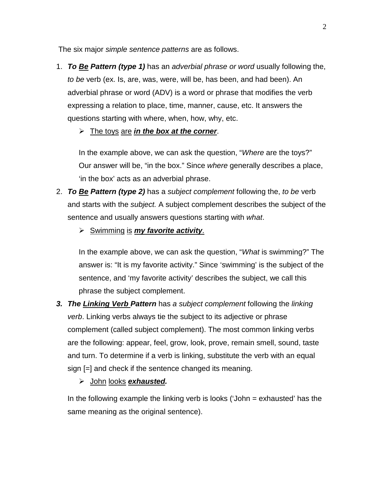The six major *simple sentence patterns* are as follows.

1. *To Be Pattern (type 1)* has an *adverbial phrase or word* usually following the, *to be* verb (ex. Is, are, was, were, will be, has been, and had been). An adverbial phrase or word (ADV) is a word or phrase that modifies the verb expressing a relation to place, time, manner, cause, etc. It answers the questions starting with where, when, how, why, etc.

The toys are *in the box at the corner*.

In the example above, we can ask the question, "*Where* are the toys?" Our answer will be, "in the box." Since *where* generally describes a place, 'in the box' acts as an adverbial phrase.

- 2. *To Be Pattern (type 2)* has a *subject complement* following the, *to be* verb and starts with the *subject.* A subject complement describes the subject of the sentence and usually answers questions starting with *what*.
	- $\triangleright$  Swimming is **my favorite activity**.

In the example above, we can ask the question, "*What* is swimming?" The answer is: "It is my favorite activity." Since 'swimming' is the subject of the sentence, and 'my favorite activity' describes the subject, we call this phrase the subject complement.

*3. The Linking Verb Pattern* has *a subject complement* following the *linking verb*. Linking verbs always tie the subject to its adjective or phrase complement (called subject complement). The most common linking verbs are the following: appear, feel, grow, look, prove, remain smell, sound, taste and turn. To determine if a verb is linking, substitute the verb with an equal sign [=] and check if the sentence changed its meaning.

John looks *exhausted.*

In the following example the linking verb is looks ('John = exhausted' has the same meaning as the original sentence).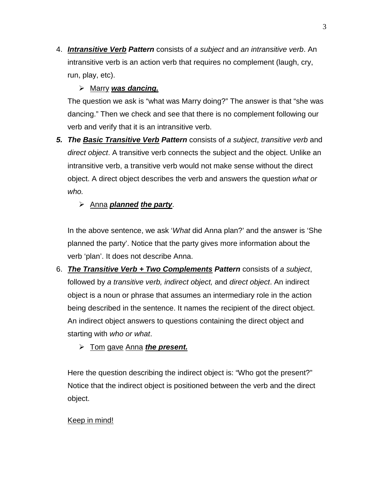4. *Intransitive Verb Pattern* consists of *a subject* and *an intransitive verb*. An intransitive verb is an action verb that requires no complement (laugh, cry, run, play, etc).

# Marry *was dancing.*

The question we ask is "what was Marry doing?" The answer is that "she was dancing." Then we check and see that there is no complement following our verb and verify that it is an intransitive verb.

*5. The Basic Transitive Verb Pattern* consists of *a subject*, *transitive verb* and *direct object*. A transitive verb connects the subject and the object. Unlike an intransitive verb, a transitive verb would not make sense without the direct object. A direct object describes the verb and answers the question *what or who.*

# Anna *planned the party*.

In the above sentence, we ask '*What* did Anna plan?' and the answer is 'She planned the party'. Notice that the party gives more information about the verb 'plan'. It does not describe Anna.

- 6. *The Transitive Verb + Two Complements Pattern* consists of *a subject*, followed by *a transitive verb, indirect object,* and *direct object*. An indirect object is a noun or phrase that assumes an intermediary role in the action being described in the sentence. It names the recipient of the direct object. An indirect object answers to questions containing the direct object and starting with *who or what*.
	- Tom gave Anna *the present.*

Here the question describing the indirect object is: "Who got the present?" Notice that the indirect object is positioned between the verb and the direct object.

## Keep in mind!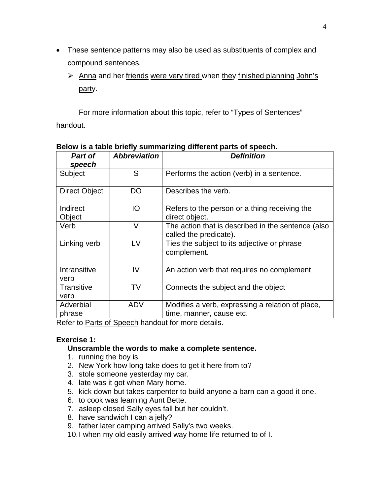- These sentence patterns may also be used as substituents of complex and compound sentences.
	- $\triangleright$  Anna and her friends were very tired when they finished planning John's party.

For more information about this topic, refer to "Types of Sentences" handout.

| Part of<br>speech    | <b>Abbreviation</b> | <b>Definition</b>                                                            |
|----------------------|---------------------|------------------------------------------------------------------------------|
| Subject              | S                   | Performs the action (verb) in a sentence.                                    |
| <b>Direct Object</b> | DO                  | Describes the verb.                                                          |
| Indirect<br>Object   | IO                  | Refers to the person or a thing receiving the<br>direct object.              |
| Verb                 | V                   | The action that is described in the sentence (also<br>called the predicate). |
| Linking verb         | LV                  | Ties the subject to its adjective or phrase<br>complement.                   |
| Intransitive<br>verb | IV                  | An action verb that requires no complement                                   |
| Transitive<br>verb   | TV                  | Connects the subject and the object                                          |
| Adverbial<br>phrase  | <b>ADV</b>          | Modifies a verb, expressing a relation of place,<br>time, manner, cause etc. |

#### **Below is a table briefly summarizing different parts of speech.**

Refer to Parts of Speech handout for more details.

### **Exercise 1:**

#### **Unscramble the words to make a complete sentence.**

- 1. running the boy is.
- 2. New York how long take does to get it here from to?
- 3. stole someone yesterday my car.
- 4. late was it got when Mary home.
- 5. kick down but takes carpenter to build anyone a barn can a good it one.
- 6. to cook was learning Aunt Bette.
- 7. asleep closed Sally eyes fall but her couldn't.
- 8. have sandwich I can a jelly?
- 9. father later camping arrived Sally's two weeks.
- 10.I when my old easily arrived way home life returned to of I.